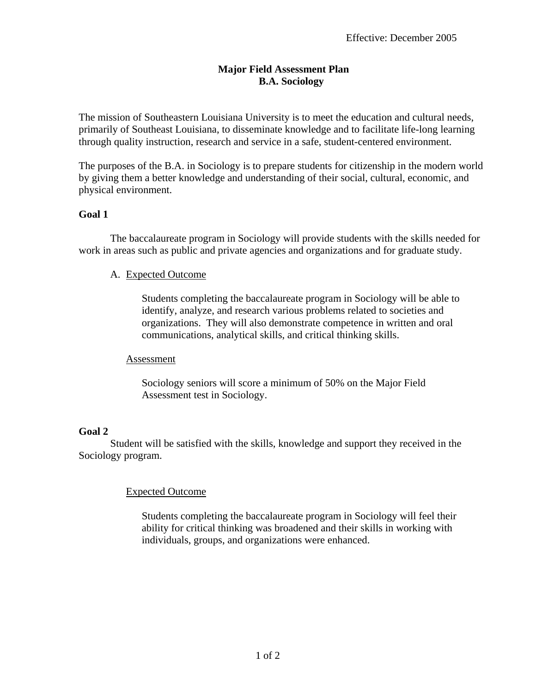## **Major Field Assessment Plan B.A. Sociology**

The mission of Southeastern Louisiana University is to meet the education and cultural needs, primarily of Southeast Louisiana, to disseminate knowledge and to facilitate life-long learning through quality instruction, research and service in a safe, student-centered environment.

The purposes of the B.A. in Sociology is to prepare students for citizenship in the modern world by giving them a better knowledge and understanding of their social, cultural, economic, and physical environment.

# **Goal 1**

The baccalaureate program in Sociology will provide students with the skills needed for work in areas such as public and private agencies and organizations and for graduate study.

## A. Expected Outcome

Students completing the baccalaureate program in Sociology will be able to identify, analyze, and research various problems related to societies and organizations. They will also demonstrate competence in written and oral communications, analytical skills, and critical thinking skills.

## Assessment

Sociology seniors will score a minimum of 50% on the Major Field Assessment test in Sociology.

## **Goal 2**

 Student will be satisfied with the skills, knowledge and support they received in the Sociology program.

## Expected Outcome

Students completing the baccalaureate program in Sociology will feel their ability for critical thinking was broadened and their skills in working with individuals, groups, and organizations were enhanced.